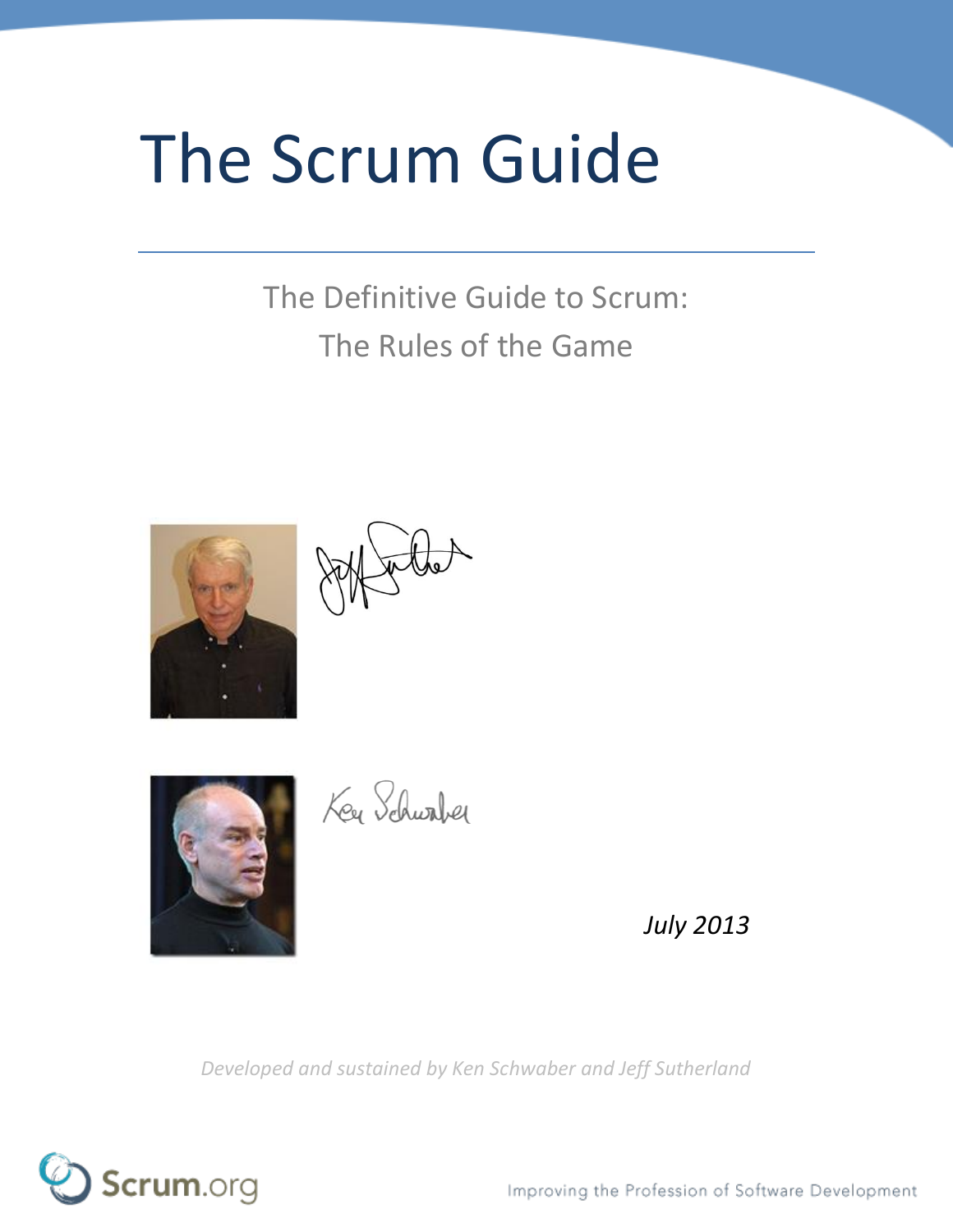# The Scrum Guide

The Definitive Guide to Scrum: The Rules of the Game







Key Schwaber

*July 2013*

*Developed and sustained by Ken Schwaber and Jeff Sutherland*



Improving the Profession of Software Development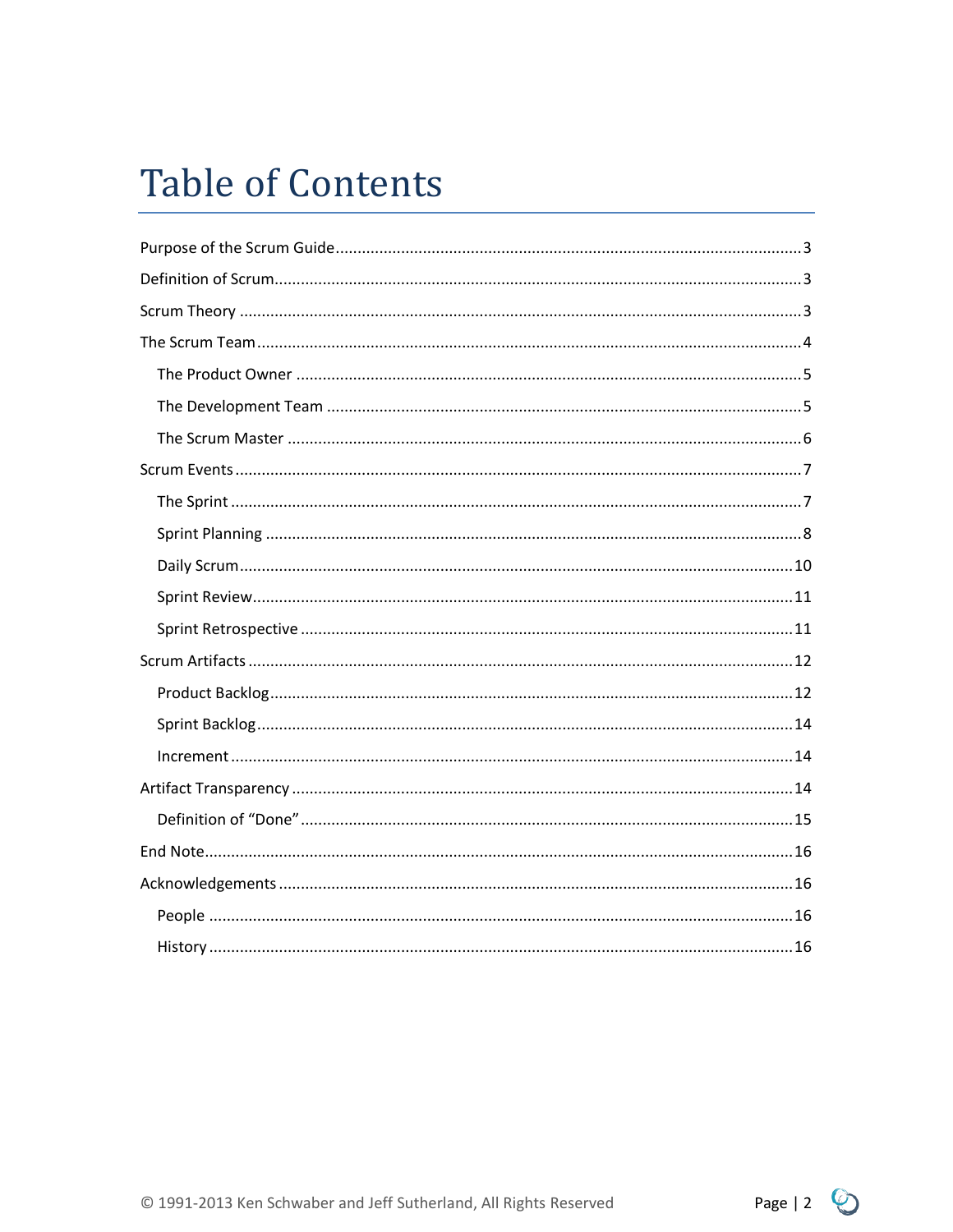# **Table of Contents**

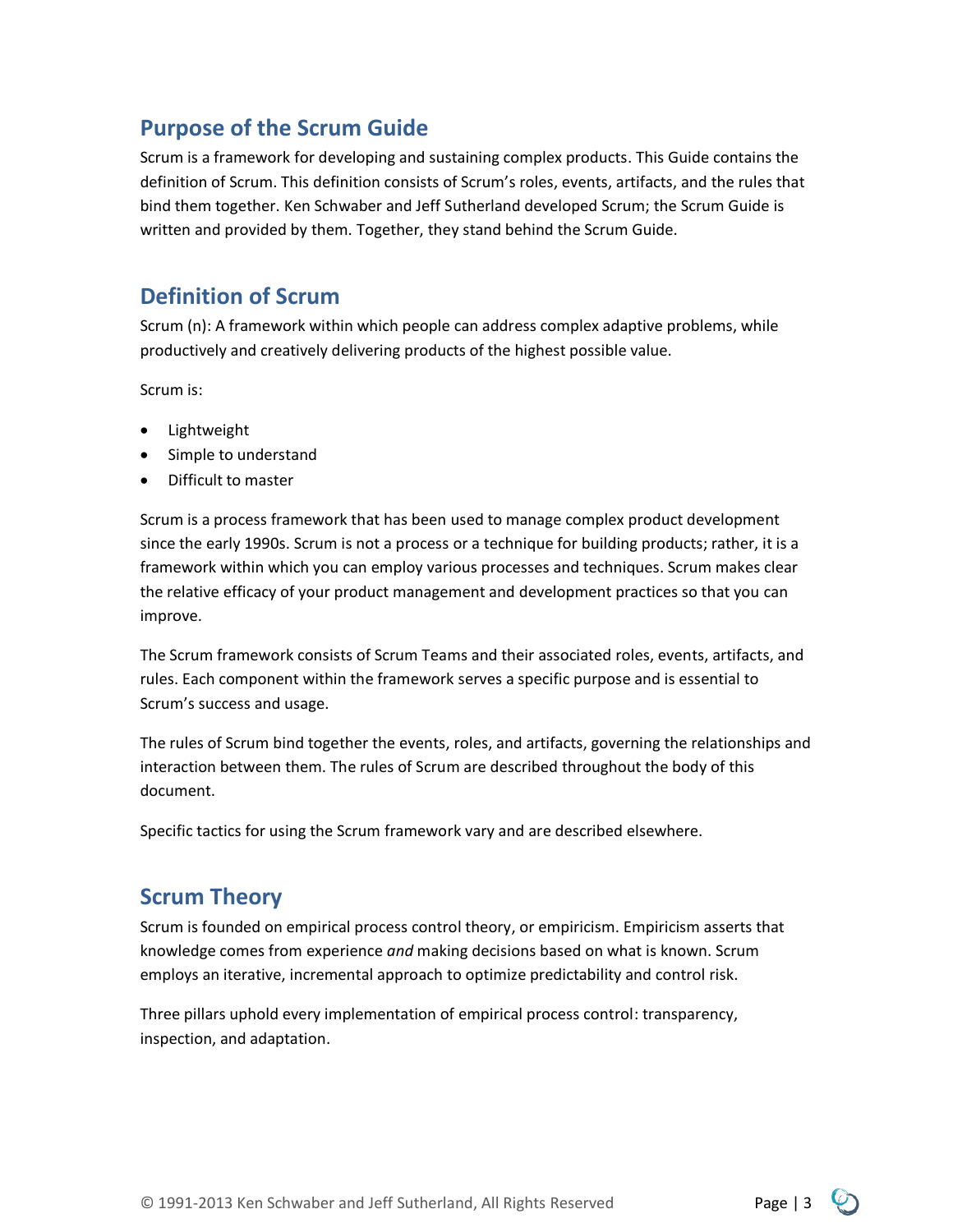# <span id="page-2-0"></span>**Purpose of the Scrum Guide**

Scrum is a framework for developing and sustaining complex products. This Guide contains the definition of Scrum. This definition consists of Scrum's roles, events, artifacts, and the rules that bind them together. Ken Schwaber and Jeff Sutherland developed Scrum; the Scrum Guide is written and provided by them. Together, they stand behind the Scrum Guide.

# <span id="page-2-1"></span>**Definition of Scrum**

Scrum (n): A framework within which people can address complex adaptive problems, while productively and creatively delivering products of the highest possible value.

Scrum is:

- Lightweight
- Simple to understand
- Difficult to master

Scrum is a process framework that has been used to manage complex product development since the early 1990s. Scrum is not a process or a technique for building products; rather, it is a framework within which you can employ various processes and techniques. Scrum makes clear the relative efficacy of your product management and development practices so that you can improve.

The Scrum framework consists of Scrum Teams and their associated roles, events, artifacts, and rules. Each component within the framework serves a specific purpose and is essential to Scrum's success and usage.

The rules of Scrum bind together the events, roles, and artifacts, governing the relationships and interaction between them. The rules of Scrum are described throughout the body of this document.

Specific tactics for using the Scrum framework vary and are described elsewhere.

# <span id="page-2-2"></span>**Scrum Theory**

Scrum is founded on empirical process control theory, or empiricism. Empiricism asserts that knowledge comes from experience *and* making decisions based on what is known. Scrum employs an iterative, incremental approach to optimize predictability and control risk.

Three pillars uphold every implementation of empirical process control: transparency, inspection, and adaptation.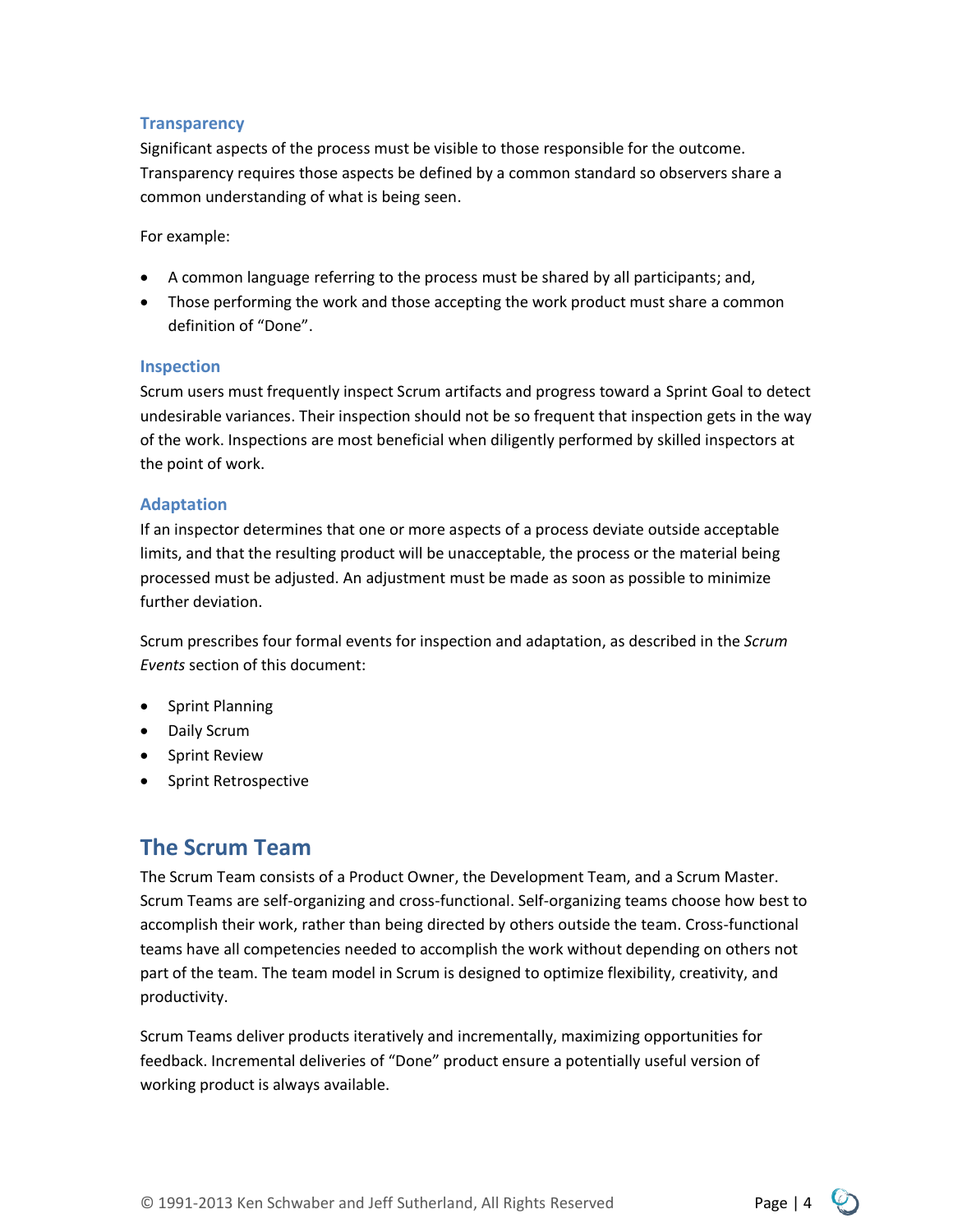#### **Transparency**

Significant aspects of the process must be visible to those responsible for the outcome. Transparency requires those aspects be defined by a common standard so observers share a common understanding of what is being seen.

For example:

- A common language referring to the process must be shared by all participants; and,
- Those performing the work and those accepting the work product must share a common definition of "Done".

#### **Inspection**

Scrum users must frequently inspect Scrum artifacts and progress toward a Sprint Goal to detect undesirable variances. Their inspection should not be so frequent that inspection gets in the way of the work. Inspections are most beneficial when diligently performed by skilled inspectors at the point of work.

#### **Adaptation**

If an inspector determines that one or more aspects of a process deviate outside acceptable limits, and that the resulting product will be unacceptable, the process or the material being processed must be adjusted. An adjustment must be made as soon as possible to minimize further deviation.

Scrum prescribes four formal events for inspection and adaptation, as described in the *Scrum Events* section of this document:

- Sprint Planning
- Daily Scrum
- **•** Sprint Review
- Sprint Retrospective

# <span id="page-3-0"></span>**The Scrum Team**

The Scrum Team consists of a Product Owner, the Development Team, and a Scrum Master. Scrum Teams are self-organizing and cross-functional. Self-organizing teams choose how best to accomplish their work, rather than being directed by others outside the team. Cross-functional teams have all competencies needed to accomplish the work without depending on others not part of the team. The team model in Scrum is designed to optimize flexibility, creativity, and productivity.

Scrum Teams deliver products iteratively and incrementally, maximizing opportunities for feedback. Incremental deliveries of "Done" product ensure a potentially useful version of working product is always available.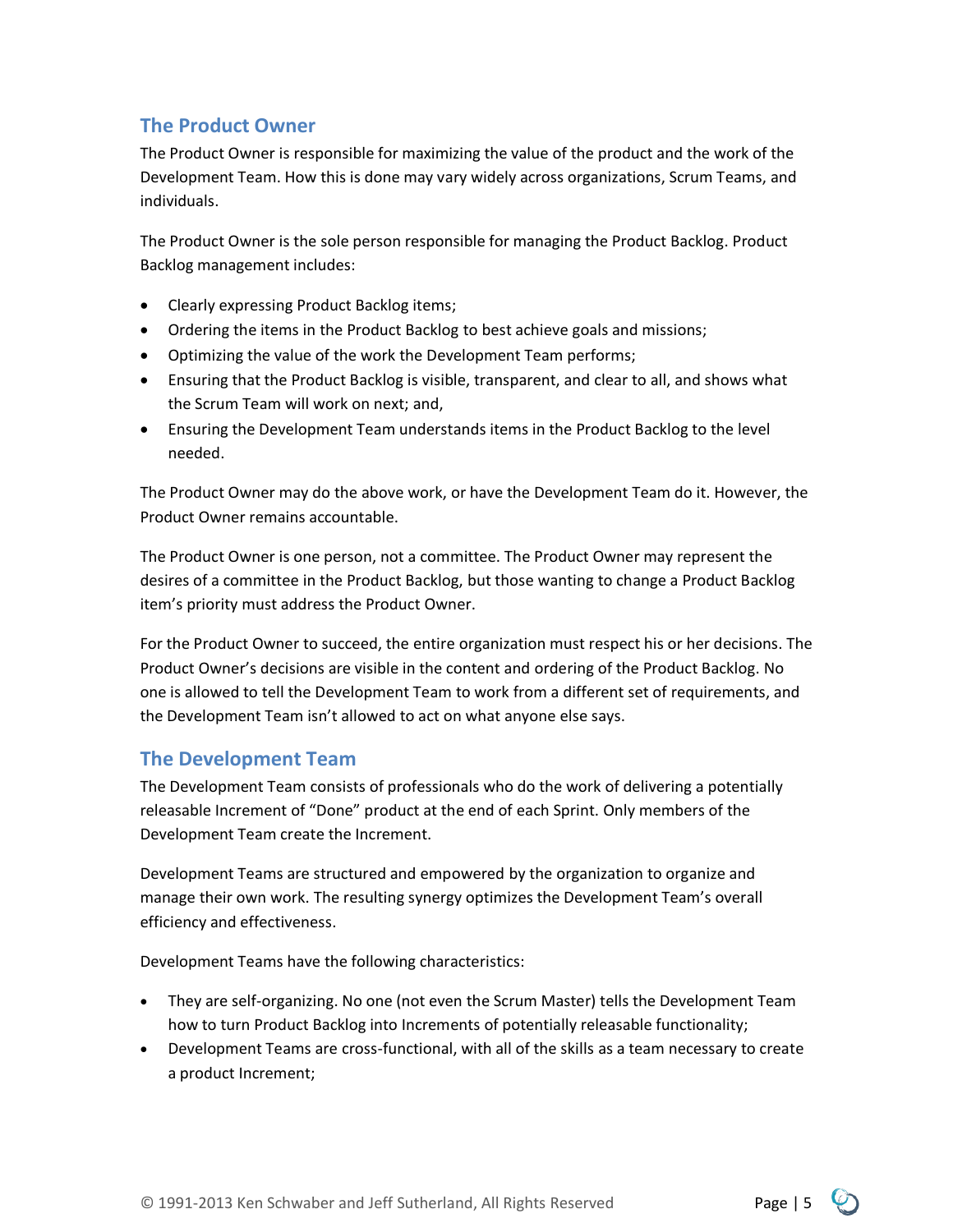# <span id="page-4-0"></span>**The Product Owner**

The Product Owner is responsible for maximizing the value of the product and the work of the Development Team. How this is done may vary widely across organizations, Scrum Teams, and individuals.

The Product Owner is the sole person responsible for managing the Product Backlog. Product Backlog management includes:

- Clearly expressing Product Backlog items;
- Ordering the items in the Product Backlog to best achieve goals and missions;
- Optimizing the value of the work the Development Team performs;
- Ensuring that the Product Backlog is visible, transparent, and clear to all, and shows what the Scrum Team will work on next; and,
- Ensuring the Development Team understands items in the Product Backlog to the level needed.

The Product Owner may do the above work, or have the Development Team do it. However, the Product Owner remains accountable.

The Product Owner is one person, not a committee. The Product Owner may represent the desires of a committee in the Product Backlog, but those wanting to change a Product Backlog item's priority must address the Product Owner.

For the Product Owner to succeed, the entire organization must respect his or her decisions. The Product Owner's decisions are visible in the content and ordering of the Product Backlog. No one is allowed to tell the Development Team to work from a different set of requirements, and the Development Team isn't allowed to act on what anyone else says.

#### <span id="page-4-1"></span>**The Development Team**

The Development Team consists of professionals who do the work of delivering a potentially releasable Increment of "Done" product at the end of each Sprint. Only members of the Development Team create the Increment.

Development Teams are structured and empowered by the organization to organize and manage their own work. The resulting synergy optimizes the Development Team's overall efficiency and effectiveness.

Development Teams have the following characteristics:

- They are self-organizing. No one (not even the Scrum Master) tells the Development Team how to turn Product Backlog into Increments of potentially releasable functionality;
- Development Teams are cross-functional, with all of the skills as a team necessary to create a product Increment;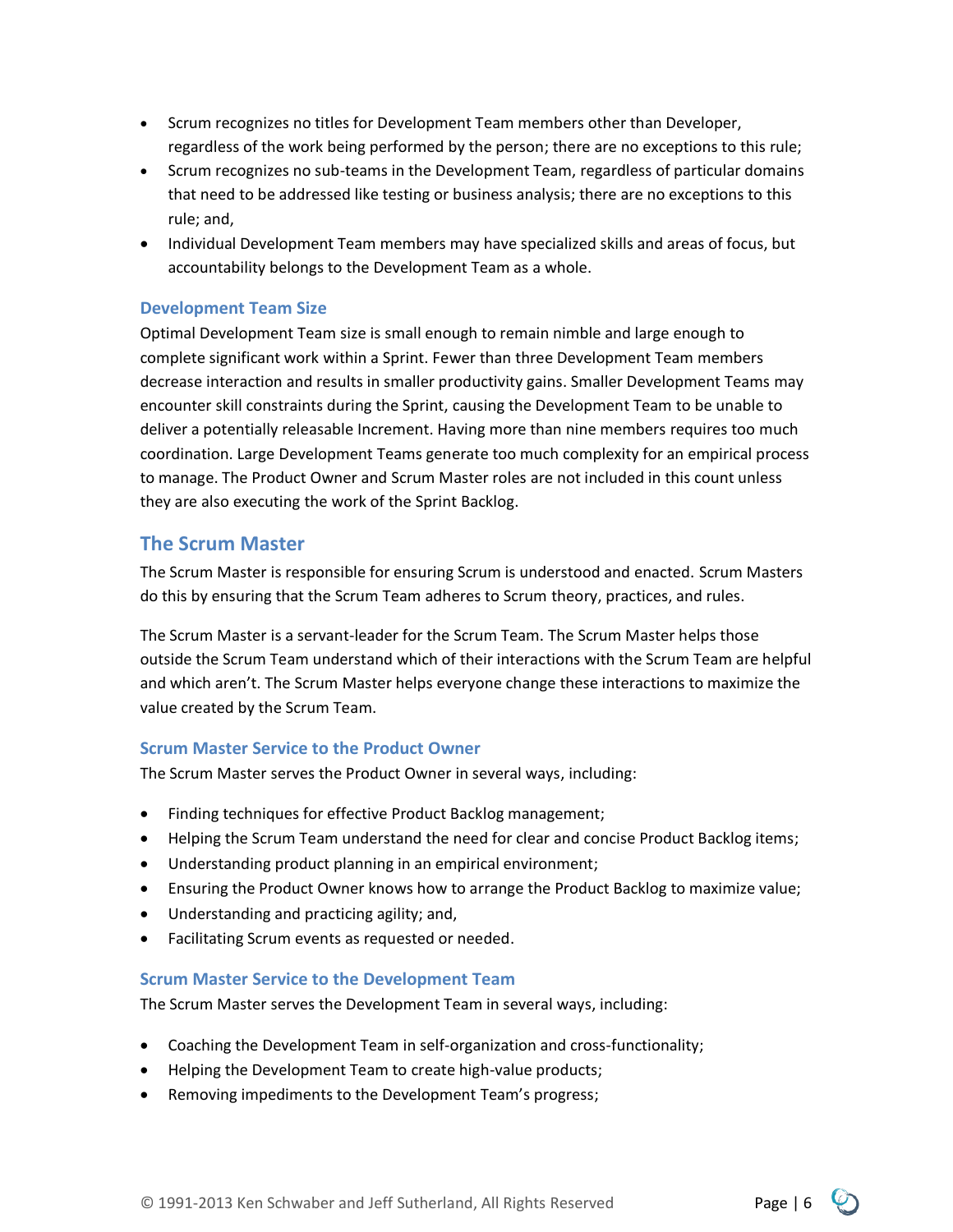- Scrum recognizes no titles for Development Team members other than Developer, regardless of the work being performed by the person; there are no exceptions to this rule;
- Scrum recognizes no sub-teams in the Development Team, regardless of particular domains that need to be addressed like testing or business analysis; there are no exceptions to this rule; and,
- Individual Development Team members may have specialized skills and areas of focus, but accountability belongs to the Development Team as a whole.

#### **Development Team Size**

Optimal Development Team size is small enough to remain nimble and large enough to complete significant work within a Sprint. Fewer than three Development Team members decrease interaction and results in smaller productivity gains. Smaller Development Teams may encounter skill constraints during the Sprint, causing the Development Team to be unable to deliver a potentially releasable Increment. Having more than nine members requires too much coordination. Large Development Teams generate too much complexity for an empirical process to manage. The Product Owner and Scrum Master roles are not included in this count unless they are also executing the work of the Sprint Backlog.

#### <span id="page-5-0"></span>**The Scrum Master**

The Scrum Master is responsible for ensuring Scrum is understood and enacted. Scrum Masters do this by ensuring that the Scrum Team adheres to Scrum theory, practices, and rules.

The Scrum Master is a servant-leader for the Scrum Team. The Scrum Master helps those outside the Scrum Team understand which of their interactions with the Scrum Team are helpful and which aren't. The Scrum Master helps everyone change these interactions to maximize the value created by the Scrum Team.

#### **Scrum Master Service to the Product Owner**

The Scrum Master serves the Product Owner in several ways, including:

- Finding techniques for effective Product Backlog management;
- Helping the Scrum Team understand the need for clear and concise Product Backlog items;
- Understanding product planning in an empirical environment;
- Ensuring the Product Owner knows how to arrange the Product Backlog to maximize value;
- Understanding and practicing agility; and,
- Facilitating Scrum events as requested or needed.

#### **Scrum Master Service to the Development Team**

The Scrum Master serves the Development Team in several ways, including:

- Coaching the Development Team in self-organization and cross-functionality;
- Helping the Development Team to create high-value products;
- Removing impediments to the Development Team's progress;

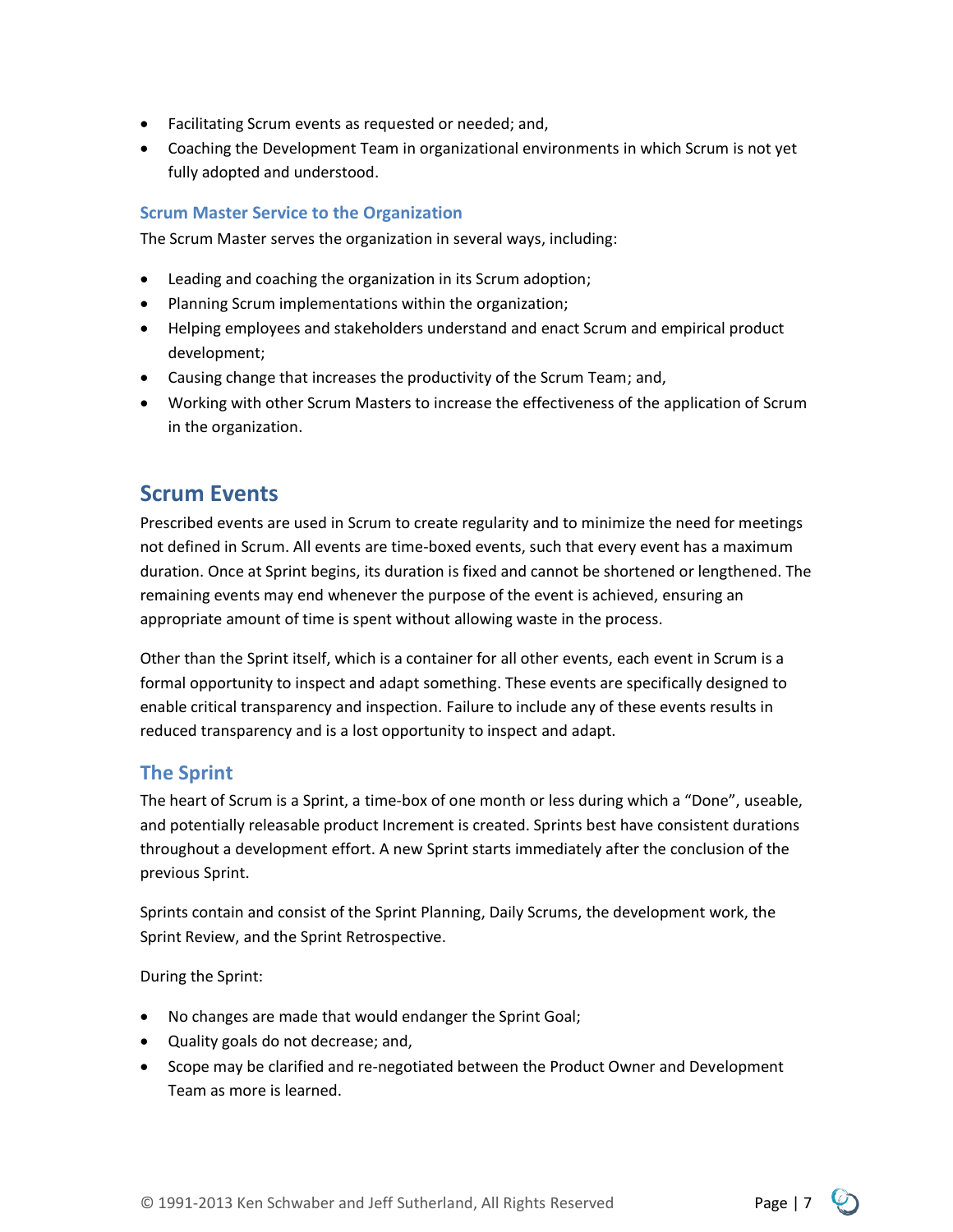- Facilitating Scrum events as requested or needed; and,
- Coaching the Development Team in organizational environments in which Scrum is not yet fully adopted and understood.

#### **Scrum Master Service to the Organization**

The Scrum Master serves the organization in several ways, including:

- Leading and coaching the organization in its Scrum adoption;
- Planning Scrum implementations within the organization;
- Helping employees and stakeholders understand and enact Scrum and empirical product development;
- Causing change that increases the productivity of the Scrum Team; and,
- Working with other Scrum Masters to increase the effectiveness of the application of Scrum in the organization.

# <span id="page-6-0"></span>**Scrum Events**

Prescribed events are used in Scrum to create regularity and to minimize the need for meetings not defined in Scrum. All events are time-boxed events, such that every event has a maximum duration. Once at Sprint begins, its duration is fixed and cannot be shortened or lengthened. The remaining events may end whenever the purpose of the event is achieved, ensuring an appropriate amount of time is spent without allowing waste in the process.

Other than the Sprint itself, which is a container for all other events, each event in Scrum is a formal opportunity to inspect and adapt something. These events are specifically designed to enable critical transparency and inspection. Failure to include any of these events results in reduced transparency and is a lost opportunity to inspect and adapt.

## <span id="page-6-1"></span>**The Sprint**

The heart of Scrum is a Sprint, a time-box of one month or less during which a "Done", useable, and potentially releasable product Increment is created. Sprints best have consistent durations throughout a development effort. A new Sprint starts immediately after the conclusion of the previous Sprint.

Sprints contain and consist of the Sprint Planning, Daily Scrums, the development work, the Sprint Review, and the Sprint Retrospective.

During the Sprint:

- No changes are made that would endanger the Sprint Goal;
- Quality goals do not decrease; and,
- Scope may be clarified and re-negotiated between the Product Owner and Development Team as more is learned.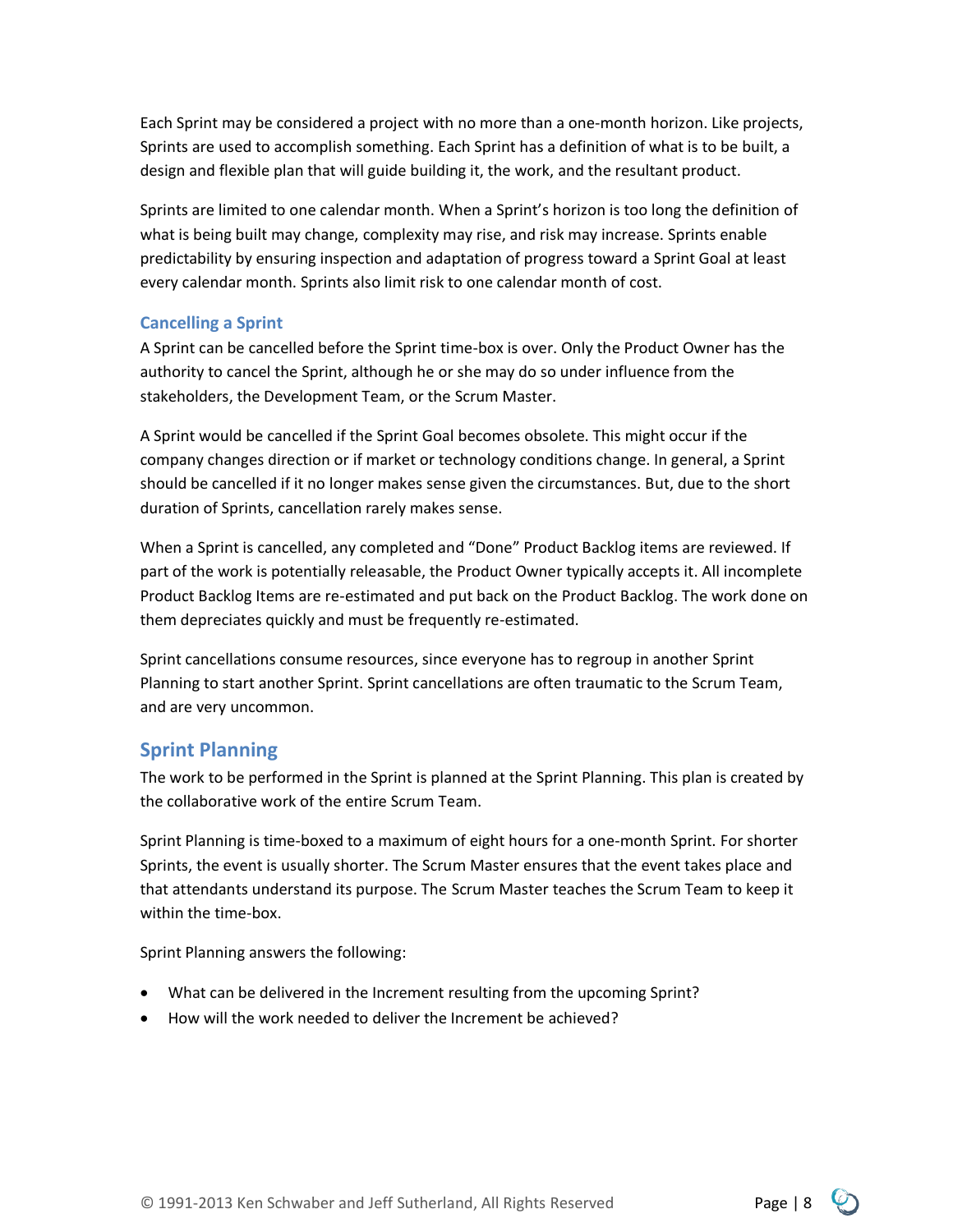Each Sprint may be considered a project with no more than a one-month horizon. Like projects, Sprints are used to accomplish something. Each Sprint has a definition of what is to be built, a design and flexible plan that will guide building it, the work, and the resultant product.

Sprints are limited to one calendar month. When a Sprint's horizon is too long the definition of what is being built may change, complexity may rise, and risk may increase. Sprints enable predictability by ensuring inspection and adaptation of progress toward a Sprint Goal at least every calendar month. Sprints also limit risk to one calendar month of cost.

#### **Cancelling a Sprint**

A Sprint can be cancelled before the Sprint time-box is over. Only the Product Owner has the authority to cancel the Sprint, although he or she may do so under influence from the stakeholders, the Development Team, or the Scrum Master.

A Sprint would be cancelled if the Sprint Goal becomes obsolete. This might occur if the company changes direction or if market or technology conditions change. In general, a Sprint should be cancelled if it no longer makes sense given the circumstances. But, due to the short duration of Sprints, cancellation rarely makes sense.

When a Sprint is cancelled, any completed and "Done" Product Backlog items are reviewed. If part of the work is potentially releasable, the Product Owner typically accepts it. All incomplete Product Backlog Items are re-estimated and put back on the Product Backlog. The work done on them depreciates quickly and must be frequently re-estimated.

Sprint cancellations consume resources, since everyone has to regroup in another Sprint Planning to start another Sprint. Sprint cancellations are often traumatic to the Scrum Team, and are very uncommon.

## <span id="page-7-0"></span>**Sprint Planning**

The work to be performed in the Sprint is planned at the Sprint Planning. This plan is created by the collaborative work of the entire Scrum Team.

Sprint Planning is time-boxed to a maximum of eight hours for a one-month Sprint. For shorter Sprints, the event is usually shorter. The Scrum Master ensures that the event takes place and that attendants understand its purpose. The Scrum Master teaches the Scrum Team to keep it within the time-box.

Sprint Planning answers the following:

- What can be delivered in the Increment resulting from the upcoming Sprint?
- How will the work needed to deliver the Increment be achieved?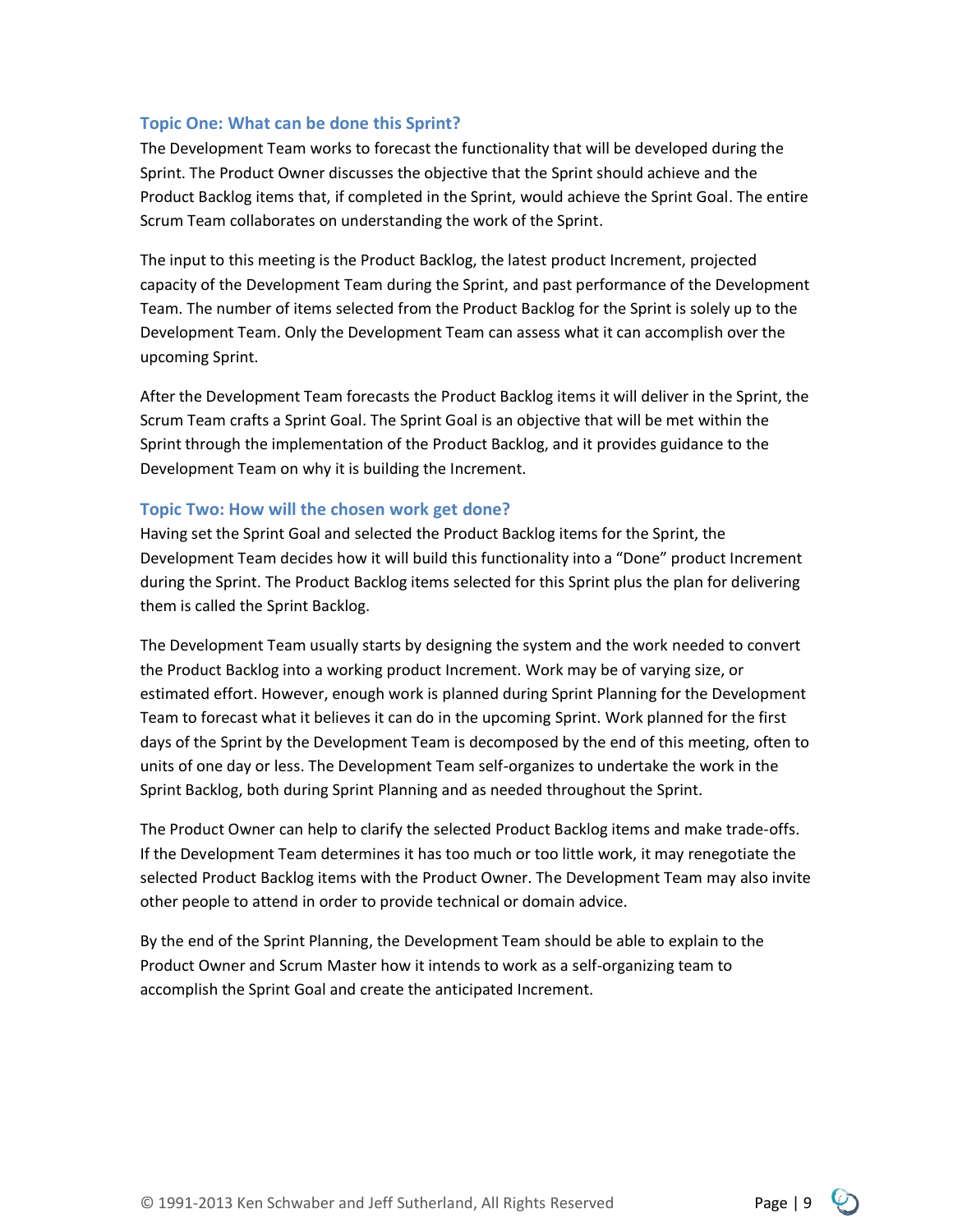#### **Topic One: What can be done this Sprint?**

The Development Team works to forecast the functionality that will be developed during the Sprint. The Product Owner discusses the objective that the Sprint should achieve and the Product Backlog items that, if completed in the Sprint, would achieve the Sprint Goal. The entire Scrum Team collaborates on understanding the work of the Sprint.

The input to this meeting is the Product Backlog, the latest product Increment, projected capacity of the Development Team during the Sprint, and past performance of the Development Team. The number of items selected from the Product Backlog for the Sprint is solely up to the Development Team. Only the Development Team can assess what it can accomplish over the upcoming Sprint.

After the Development Team forecasts the Product Backlog items it will deliver in the Sprint, the Scrum Team crafts a Sprint Goal. The Sprint Goal is an objective that will be met within the Sprint through the implementation of the Product Backlog, and it provides guidance to the Development Team on why it is building the Increment.

#### **Topic Two: How will the chosen work get done?**

Having set the Sprint Goal and selected the Product Backlog items for the Sprint, the Development Team decides how it will build this functionality into a "Done" product Increment during the Sprint. The Product Backlog items selected for this Sprint plus the plan for delivering them is called the Sprint Backlog.

The Development Team usually starts by designing the system and the work needed to convert the Product Backlog into a working product Increment. Work may be of varying size, or estimated effort. However, enough work is planned during Sprint Planning for the Development Team to forecast what it believes it can do in the upcoming Sprint. Work planned for the first days of the Sprint by the Development Team is decomposed by the end of this meeting, often to units of one day or less. The Development Team self-organizes to undertake the work in the Sprint Backlog, both during Sprint Planning and as needed throughout the Sprint.

The Product Owner can help to clarify the selected Product Backlog items and make trade-offs. If the Development Team determines it has too much or too little work, it may renegotiate the selected Product Backlog items with the Product Owner. The Development Team may also invite other people to attend in order to provide technical or domain advice.

By the end of the Sprint Planning, the Development Team should be able to explain to the Product Owner and Scrum Master how it intends to work as a self-organizing team to accomplish the Sprint Goal and create the anticipated Increment.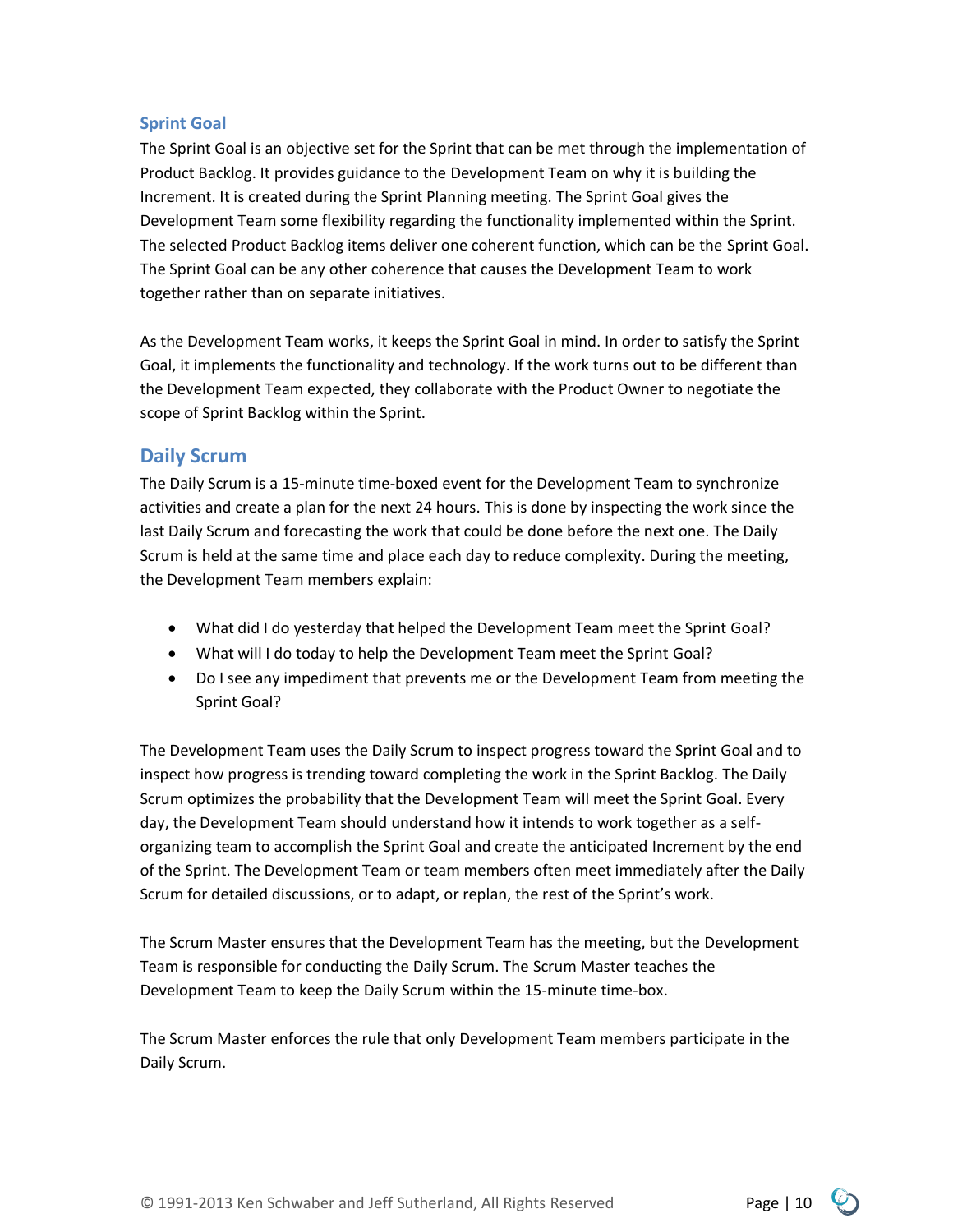#### **Sprint Goal**

The Sprint Goal is an objective set for the Sprint that can be met through the implementation of Product Backlog. It provides guidance to the Development Team on why it is building the Increment. It is created during the Sprint Planning meeting. The Sprint Goal gives the Development Team some flexibility regarding the functionality implemented within the Sprint. The selected Product Backlog items deliver one coherent function, which can be the Sprint Goal. The Sprint Goal can be any other coherence that causes the Development Team to work together rather than on separate initiatives.

As the Development Team works, it keeps the Sprint Goal in mind. In order to satisfy the Sprint Goal, it implements the functionality and technology. If the work turns out to be different than the Development Team expected, they collaborate with the Product Owner to negotiate the scope of Sprint Backlog within the Sprint.

#### <span id="page-9-0"></span>**Daily Scrum**

The Daily Scrum is a 15-minute time-boxed event for the Development Team to synchronize activities and create a plan for the next 24 hours. This is done by inspecting the work since the last Daily Scrum and forecasting the work that could be done before the next one. The Daily Scrum is held at the same time and place each day to reduce complexity. During the meeting, the Development Team members explain:

- What did I do yesterday that helped the Development Team meet the Sprint Goal?
- What will I do today to help the Development Team meet the Sprint Goal?
- Do I see any impediment that prevents me or the Development Team from meeting the Sprint Goal?

The Development Team uses the Daily Scrum to inspect progress toward the Sprint Goal and to inspect how progress is trending toward completing the work in the Sprint Backlog. The Daily Scrum optimizes the probability that the Development Team will meet the Sprint Goal. Every day, the Development Team should understand how it intends to work together as a selforganizing team to accomplish the Sprint Goal and create the anticipated Increment by the end of the Sprint. The Development Team or team members often meet immediately after the Daily Scrum for detailed discussions, or to adapt, or replan, the rest of the Sprint's work.

The Scrum Master ensures that the Development Team has the meeting, but the Development Team is responsible for conducting the Daily Scrum. The Scrum Master teaches the Development Team to keep the Daily Scrum within the 15-minute time-box.

The Scrum Master enforces the rule that only Development Team members participate in the Daily Scrum.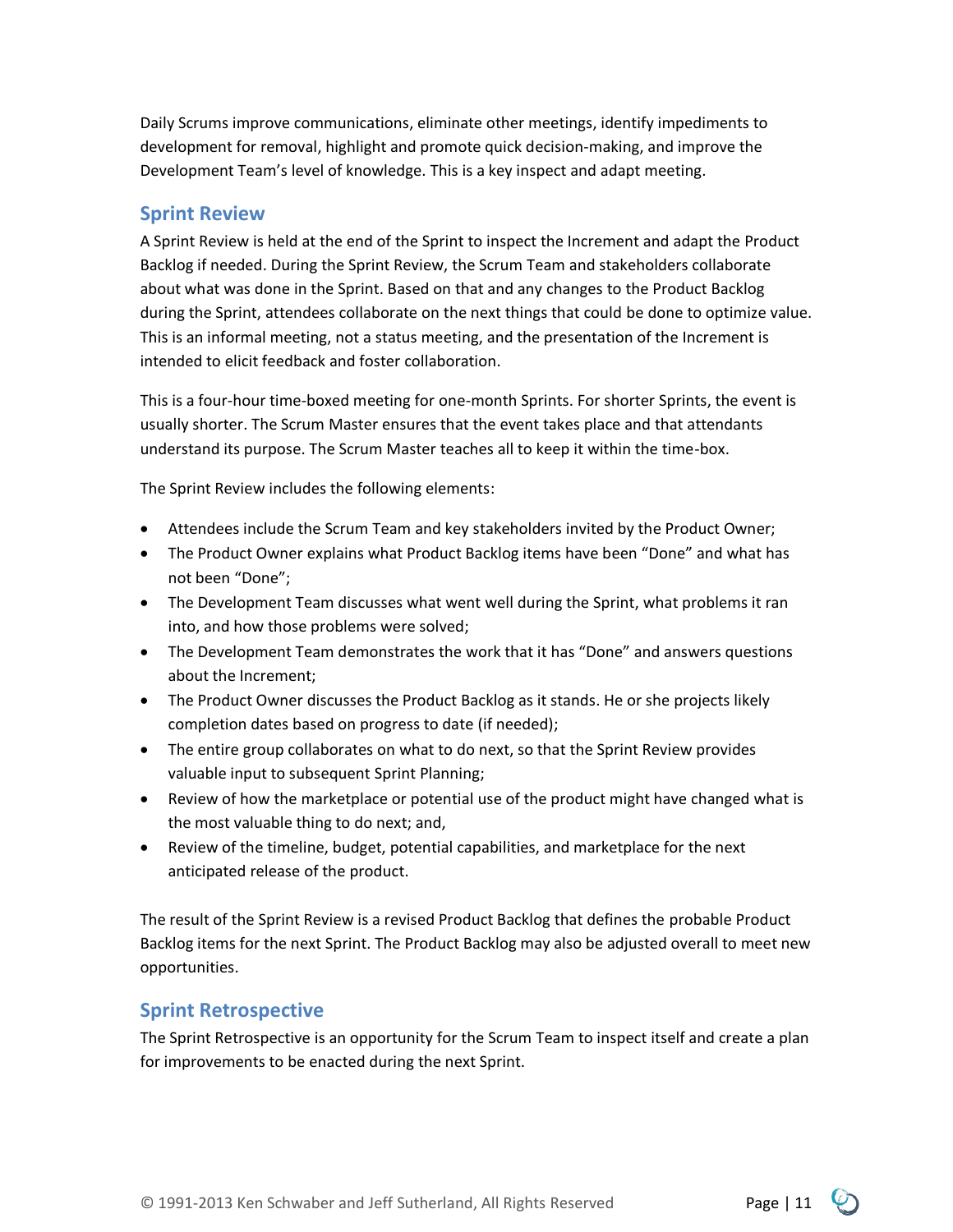Daily Scrums improve communications, eliminate other meetings, identify impediments to development for removal, highlight and promote quick decision-making, and improve the Development Team's level of knowledge. This is a key inspect and adapt meeting.

#### <span id="page-10-0"></span>**Sprint Review**

A Sprint Review is held at the end of the Sprint to inspect the Increment and adapt the Product Backlog if needed. During the Sprint Review, the Scrum Team and stakeholders collaborate about what was done in the Sprint. Based on that and any changes to the Product Backlog during the Sprint, attendees collaborate on the next things that could be done to optimize value. This is an informal meeting, not a status meeting, and the presentation of the Increment is intended to elicit feedback and foster collaboration.

This is a four-hour time-boxed meeting for one-month Sprints. For shorter Sprints, the event is usually shorter. The Scrum Master ensures that the event takes place and that attendants understand its purpose. The Scrum Master teaches all to keep it within the time-box.

The Sprint Review includes the following elements:

- Attendees include the Scrum Team and key stakeholders invited by the Product Owner;
- The Product Owner explains what Product Backlog items have been "Done" and what has not been "Done";
- The Development Team discusses what went well during the Sprint, what problems it ran into, and how those problems were solved;
- The Development Team demonstrates the work that it has "Done" and answers questions about the Increment;
- The Product Owner discusses the Product Backlog as it stands. He or she projects likely completion dates based on progress to date (if needed);
- The entire group collaborates on what to do next, so that the Sprint Review provides valuable input to subsequent Sprint Planning;
- Review of how the marketplace or potential use of the product might have changed what is the most valuable thing to do next; and,
- Review of the timeline, budget, potential capabilities, and marketplace for the next anticipated release of the product.

The result of the Sprint Review is a revised Product Backlog that defines the probable Product Backlog items for the next Sprint. The Product Backlog may also be adjusted overall to meet new opportunities.

#### <span id="page-10-1"></span>**Sprint Retrospective**

The Sprint Retrospective is an opportunity for the Scrum Team to inspect itself and create a plan for improvements to be enacted during the next Sprint.

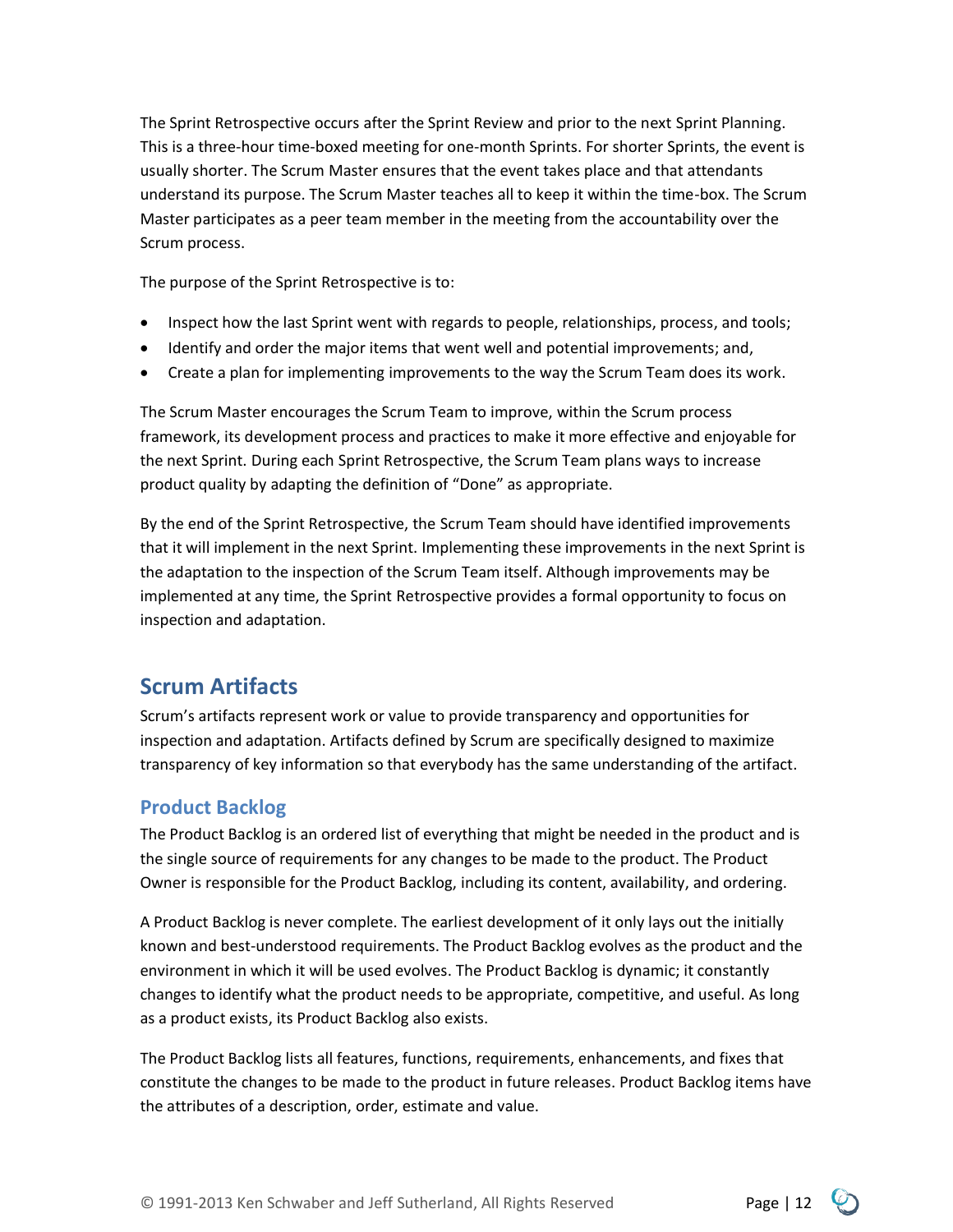The Sprint Retrospective occurs after the Sprint Review and prior to the next Sprint Planning. This is a three-hour time-boxed meeting for one-month Sprints. For shorter Sprints, the event is usually shorter. The Scrum Master ensures that the event takes place and that attendants understand its purpose. The Scrum Master teaches all to keep it within the time-box. The Scrum Master participates as a peer team member in the meeting from the accountability over the Scrum process.

The purpose of the Sprint Retrospective is to:

- Inspect how the last Sprint went with regards to people, relationships, process, and tools;
- Identify and order the major items that went well and potential improvements; and,
- Create a plan for implementing improvements to the way the Scrum Team does its work.

The Scrum Master encourages the Scrum Team to improve, within the Scrum process framework, its development process and practices to make it more effective and enjoyable for the next Sprint. During each Sprint Retrospective, the Scrum Team plans ways to increase product quality by adapting the definition of "Done" as appropriate.

By the end of the Sprint Retrospective, the Scrum Team should have identified improvements that it will implement in the next Sprint. Implementing these improvements in the next Sprint is the adaptation to the inspection of the Scrum Team itself. Although improvements may be implemented at any time, the Sprint Retrospective provides a formal opportunity to focus on inspection and adaptation.

# <span id="page-11-0"></span>**Scrum Artifacts**

Scrum's artifacts represent work or value to provide transparency and opportunities for inspection and adaptation. Artifacts defined by Scrum are specifically designed to maximize transparency of key information so that everybody has the same understanding of the artifact.

#### <span id="page-11-1"></span>**Product Backlog**

The Product Backlog is an ordered list of everything that might be needed in the product and is the single source of requirements for any changes to be made to the product. The Product Owner is responsible for the Product Backlog, including its content, availability, and ordering.

A Product Backlog is never complete. The earliest development of it only lays out the initially known and best-understood requirements. The Product Backlog evolves as the product and the environment in which it will be used evolves. The Product Backlog is dynamic; it constantly changes to identify what the product needs to be appropriate, competitive, and useful. As long as a product exists, its Product Backlog also exists.

The Product Backlog lists all features, functions, requirements, enhancements, and fixes that constitute the changes to be made to the product in future releases. Product Backlog items have the attributes of a description, order, estimate and value.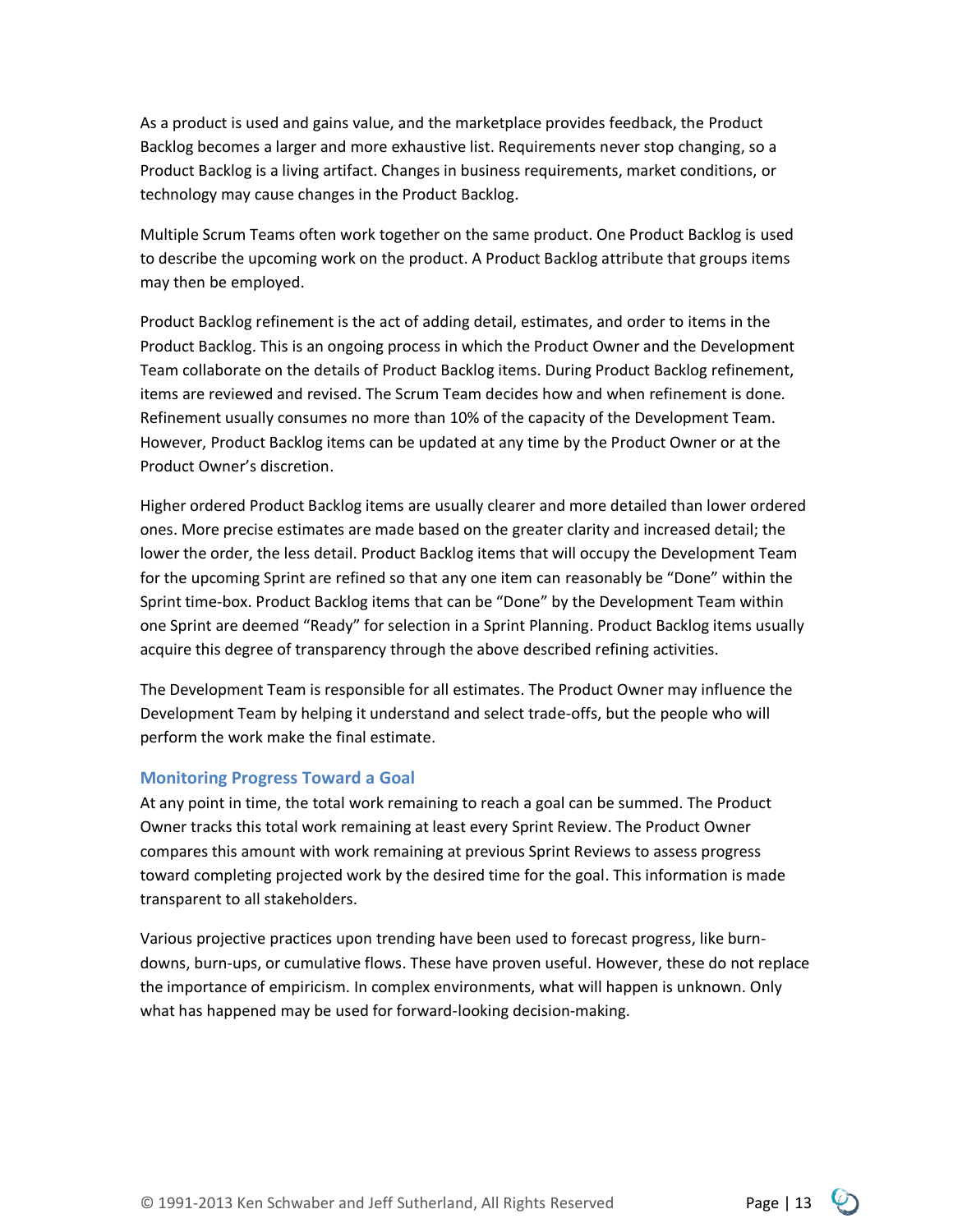As a product is used and gains value, and the marketplace provides feedback, the Product Backlog becomes a larger and more exhaustive list. Requirements never stop changing, so a Product Backlog is a living artifact. Changes in business requirements, market conditions, or technology may cause changes in the Product Backlog.

Multiple Scrum Teams often work together on the same product. One Product Backlog is used to describe the upcoming work on the product. A Product Backlog attribute that groups items may then be employed.

Product Backlog refinement is the act of adding detail, estimates, and order to items in the Product Backlog. This is an ongoing process in which the Product Owner and the Development Team collaborate on the details of Product Backlog items. During Product Backlog refinement, items are reviewed and revised. The Scrum Team decides how and when refinement is done. Refinement usually consumes no more than 10% of the capacity of the Development Team. However, Product Backlog items can be updated at any time by the Product Owner or at the Product Owner's discretion.

Higher ordered Product Backlog items are usually clearer and more detailed than lower ordered ones. More precise estimates are made based on the greater clarity and increased detail; the lower the order, the less detail. Product Backlog items that will occupy the Development Team for the upcoming Sprint are refined so that any one item can reasonably be "Done" within the Sprint time-box. Product Backlog items that can be "Done" by the Development Team within one Sprint are deemed "Ready" for selection in a Sprint Planning. Product Backlog items usually acquire this degree of transparency through the above described refining activities.

The Development Team is responsible for all estimates. The Product Owner may influence the Development Team by helping it understand and select trade-offs, but the people who will perform the work make the final estimate.

#### **Monitoring Progress Toward a Goal**

At any point in time, the total work remaining to reach a goal can be summed. The Product Owner tracks this total work remaining at least every Sprint Review. The Product Owner compares this amount with work remaining at previous Sprint Reviews to assess progress toward completing projected work by the desired time for the goal. This information is made transparent to all stakeholders.

<span id="page-12-0"></span>Various projective practices upon trending have been used to forecast progress, like burndowns, burn-ups, or cumulative flows. These have proven useful. However, these do not replace the importance of empiricism. In complex environments, what will happen is unknown. Only what has happened may be used for forward-looking decision-making.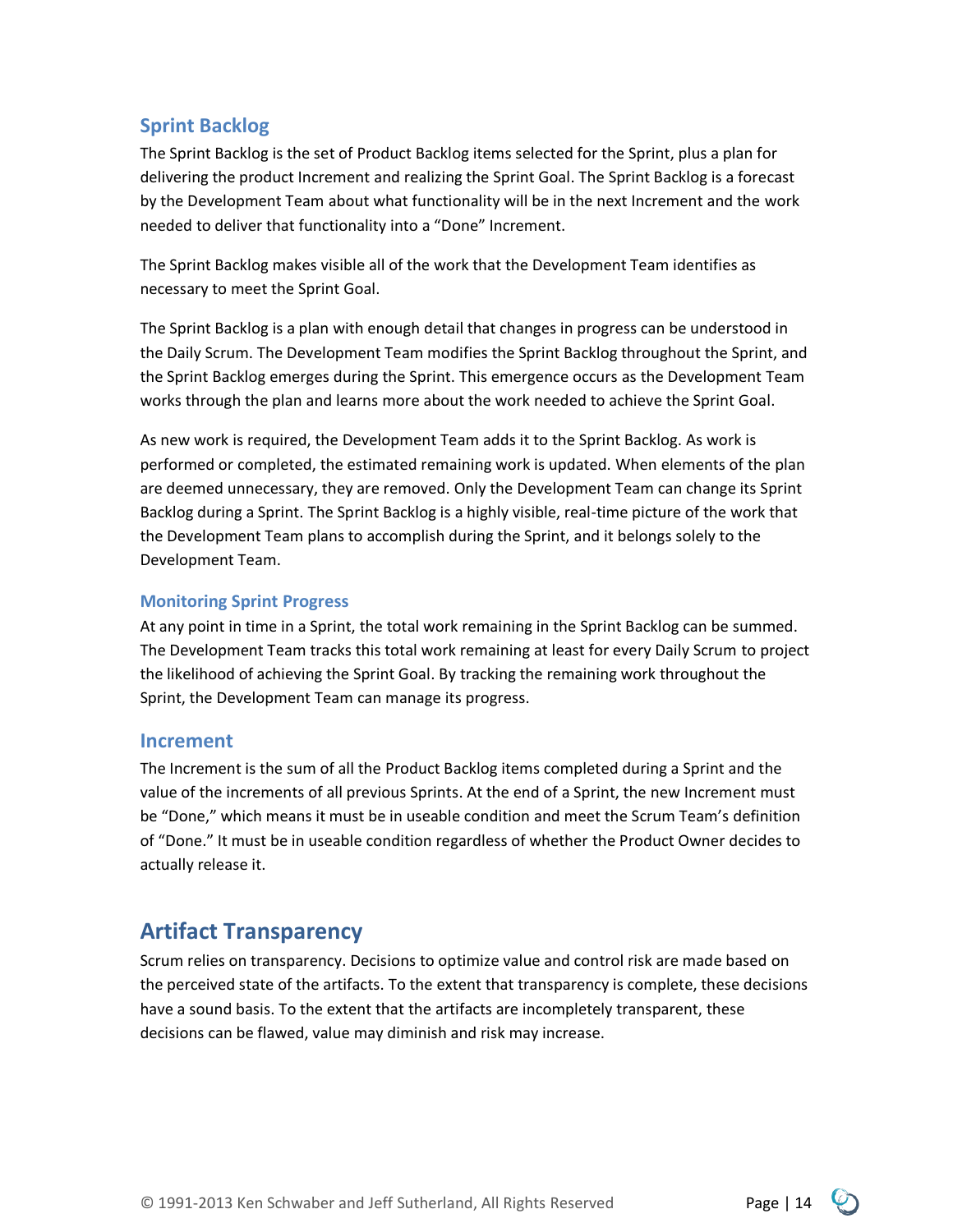# **Sprint Backlog**

The Sprint Backlog is the set of Product Backlog items selected for the Sprint, plus a plan for delivering the product Increment and realizing the Sprint Goal. The Sprint Backlog is a forecast by the Development Team about what functionality will be in the next Increment and the work needed to deliver that functionality into a "Done" Increment.

The Sprint Backlog makes visible all of the work that the Development Team identifies as necessary to meet the Sprint Goal.

The Sprint Backlog is a plan with enough detail that changes in progress can be understood in the Daily Scrum. The Development Team modifies the Sprint Backlog throughout the Sprint, and the Sprint Backlog emerges during the Sprint. This emergence occurs as the Development Team works through the plan and learns more about the work needed to achieve the Sprint Goal.

As new work is required, the Development Team adds it to the Sprint Backlog. As work is performed or completed, the estimated remaining work is updated. When elements of the plan are deemed unnecessary, they are removed. Only the Development Team can change its Sprint Backlog during a Sprint. The Sprint Backlog is a highly visible, real-time picture of the work that the Development Team plans to accomplish during the Sprint, and it belongs solely to the Development Team.

#### **Monitoring Sprint Progress**

At any point in time in a Sprint, the total work remaining in the Sprint Backlog can be summed. The Development Team tracks this total work remaining at least for every Daily Scrum to project the likelihood of achieving the Sprint Goal. By tracking the remaining work throughout the Sprint, the Development Team can manage its progress.

#### <span id="page-13-0"></span>**Increment**

The Increment is the sum of all the Product Backlog items completed during a Sprint and the value of the increments of all previous Sprints. At the end of a Sprint, the new Increment must be "Done," which means it must be in useable condition and meet the Scrum Team's definition of "Done." It must be in useable condition regardless of whether the Product Owner decides to actually release it.

# <span id="page-13-1"></span>**Artifact Transparency**

Scrum relies on transparency. Decisions to optimize value and control risk are made based on the perceived state of the artifacts. To the extent that transparency is complete, these decisions have a sound basis. To the extent that the artifacts are incompletely transparent, these decisions can be flawed, value may diminish and risk may increase.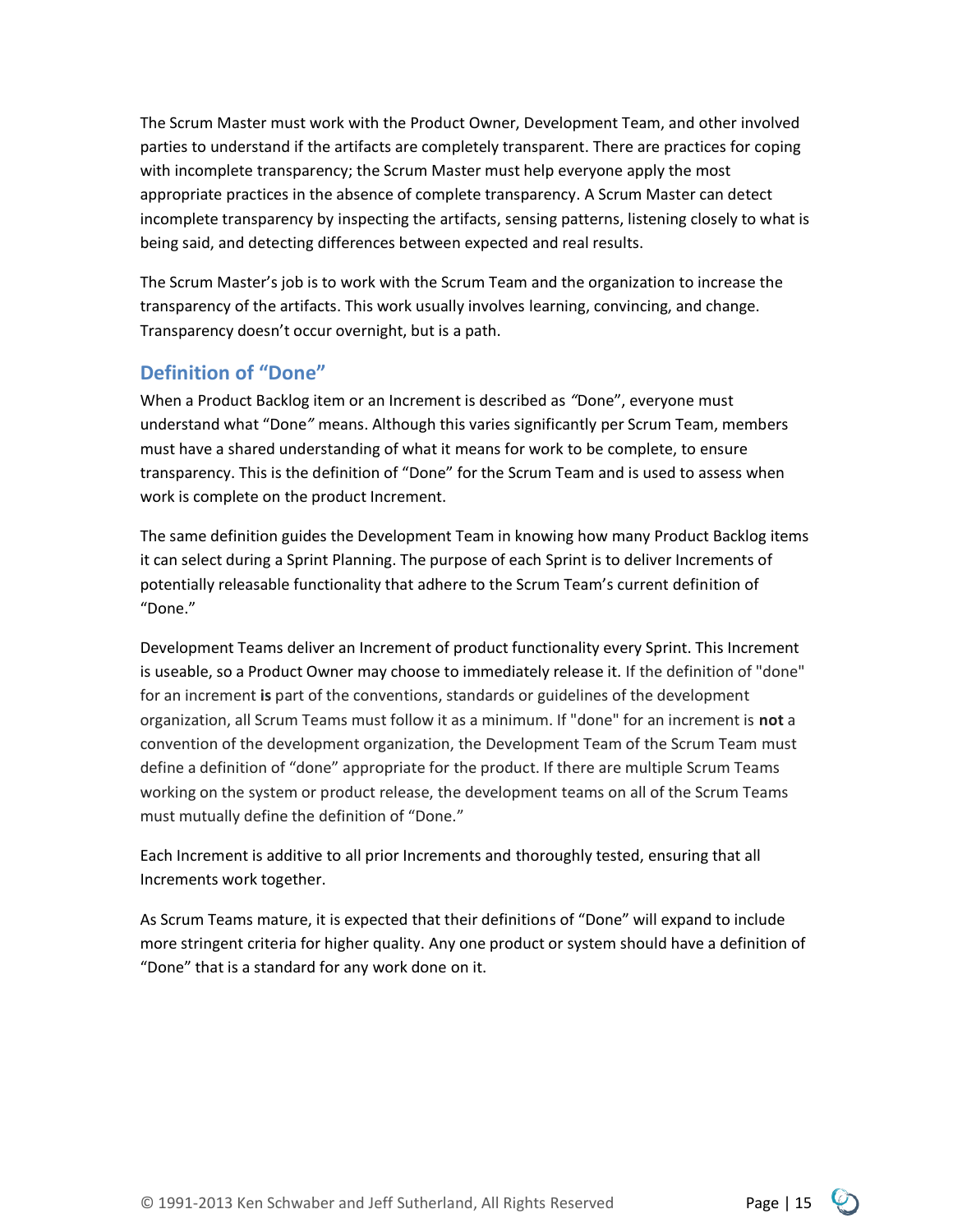The Scrum Master must work with the Product Owner, Development Team, and other involved parties to understand if the artifacts are completely transparent. There are practices for coping with incomplete transparency; the Scrum Master must help everyone apply the most appropriate practices in the absence of complete transparency. A Scrum Master can detect incomplete transparency by inspecting the artifacts, sensing patterns, listening closely to what is being said, and detecting differences between expected and real results.

The Scrum Master's job is to work with the Scrum Team and the organization to increase the transparency of the artifacts. This work usually involves learning, convincing, and change. Transparency doesn't occur overnight, but is a path.

#### <span id="page-14-0"></span>**Definition of "Done"**

When a Product Backlog item or an Increment is described as *"*Done", everyone must understand what "Done*"* means. Although this varies significantly per Scrum Team, members must have a shared understanding of what it means for work to be complete, to ensure transparency. This is the definition of "Done" for the Scrum Team and is used to assess when work is complete on the product Increment.

The same definition guides the Development Team in knowing how many Product Backlog items it can select during a Sprint Planning. The purpose of each Sprint is to deliver Increments of potentially releasable functionality that adhere to the Scrum Team's current definition of "Done."

Development Teams deliver an Increment of product functionality every Sprint. This Increment is useable, so a Product Owner may choose to immediately release it. If the definition of "done" for an increment **is** part of the conventions, standards or guidelines of the development organization, all Scrum Teams must follow it as a minimum. If "done" for an increment is **not** a convention of the development organization, the Development Team of the Scrum Team must define a definition of "done" appropriate for the product. If there are multiple Scrum Teams working on the system or product release, the development teams on all of the Scrum Teams must mutually define the definition of "Done."

Each Increment is additive to all prior Increments and thoroughly tested, ensuring that all Increments work together.

<span id="page-14-1"></span>As Scrum Teams mature, it is expected that their definitions of "Done" will expand to include more stringent criteria for higher quality. Any one product or system should have a definition of "Done" that is a standard for any work done on it.